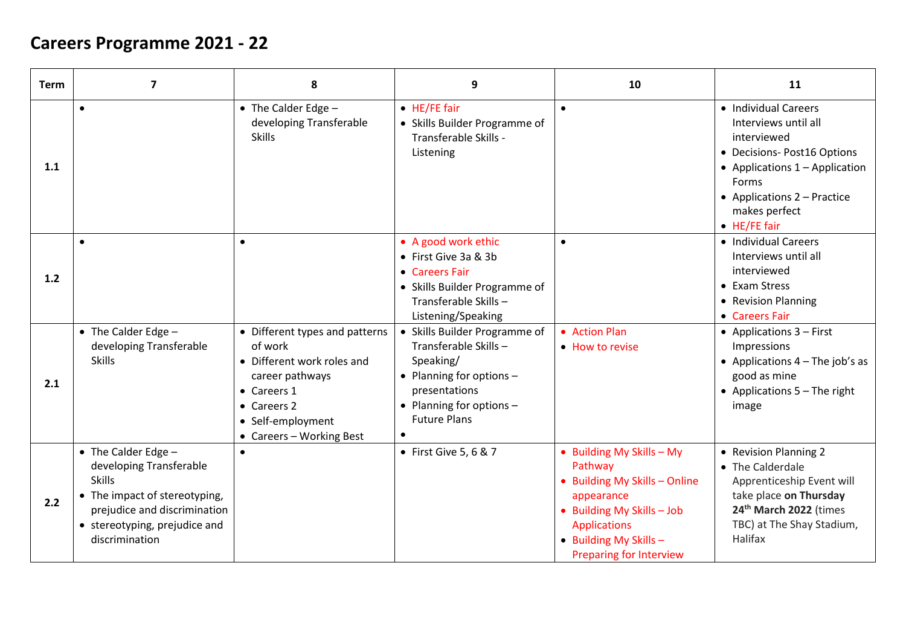## **Careers Programme 2021 - 22**

| <b>Term</b> | 7                                                                                                                                                                                   | 8                                                                                                                                                                                 | 9                                                                                                                                                                    | 10                                                                                                                                                                                                    | 11                                                                                                                                                                                                      |
|-------------|-------------------------------------------------------------------------------------------------------------------------------------------------------------------------------------|-----------------------------------------------------------------------------------------------------------------------------------------------------------------------------------|----------------------------------------------------------------------------------------------------------------------------------------------------------------------|-------------------------------------------------------------------------------------------------------------------------------------------------------------------------------------------------------|---------------------------------------------------------------------------------------------------------------------------------------------------------------------------------------------------------|
| 1.1         | $\bullet$                                                                                                                                                                           | $\bullet$ The Calder Edge -<br>developing Transferable<br><b>Skills</b>                                                                                                           | • HE/FE fair<br>• Skills Builder Programme of<br>Transferable Skills -<br>Listening                                                                                  | $\bullet$                                                                                                                                                                                             | • Individual Careers<br>Interviews until all<br>interviewed<br>• Decisions- Post16 Options<br>• Applications 1 - Application<br>Forms<br>• Applications $2$ – Practice<br>makes perfect<br>• HE/FE fair |
| $1.2$       | $\bullet$                                                                                                                                                                           | $\bullet$                                                                                                                                                                         | • A good work ethic<br>• First Give 3a & 3b<br>• Careers Fair<br>• Skills Builder Programme of<br>Transferable Skills-<br>Listening/Speaking                         | $\bullet$                                                                                                                                                                                             | • Individual Careers<br>Interviews until all<br>interviewed<br>• Exam Stress<br>• Revision Planning<br>• Careers Fair                                                                                   |
| 2.1         | • The Calder Edge -<br>developing Transferable<br><b>Skills</b>                                                                                                                     | • Different types and patterns<br>of work<br>• Different work roles and<br>career pathways<br>• Careers 1<br>$\bullet$ Careers 2<br>• Self-employment<br>• Careers - Working Best | • Skills Builder Programme of<br>Transferable Skills-<br>Speaking/<br>• Planning for options -<br>presentations<br>• Planning for options $-$<br><b>Future Plans</b> | • Action Plan<br>• How to revise                                                                                                                                                                      | • Applications $3$ – First<br>Impressions<br>• Applications $4$ – The job's as<br>good as mine<br>• Applications $5$ – The right<br>image                                                               |
| 2.2         | • The Calder Edge -<br>developing Transferable<br><b>Skills</b><br>• The impact of stereotyping,<br>prejudice and discrimination<br>• stereotyping, prejudice and<br>discrimination | $\bullet$                                                                                                                                                                         | • First Give 5, 6 & 7                                                                                                                                                | • Building My Skills - My<br>Pathway<br>• Building My Skills - Online<br>appearance<br>• Building My Skills - Job<br><b>Applications</b><br>$\bullet$ Building My Skills -<br>Preparing for Interview | • Revision Planning 2<br>• The Calderdale<br>Apprenticeship Event will<br>take place on Thursday<br>24th March 2022 (times<br>TBC) at The Shay Stadium,<br>Halifax                                      |